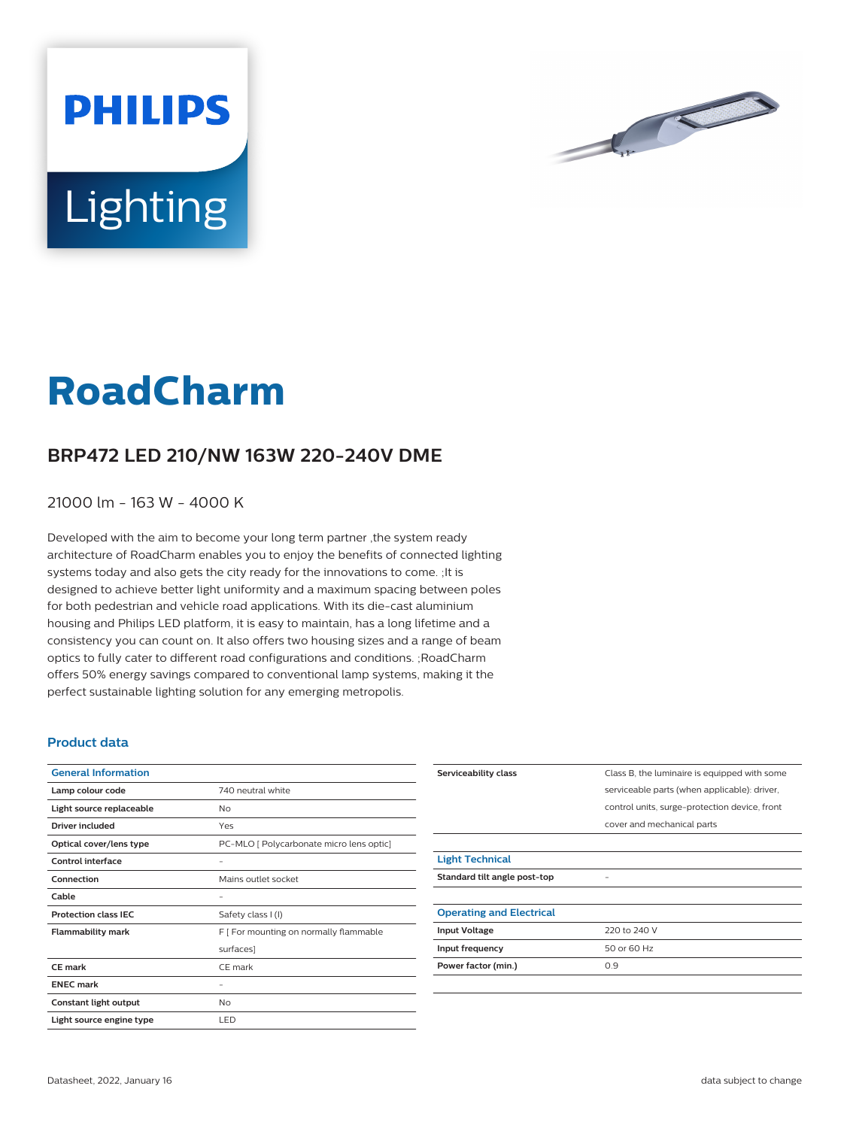



# **RoadCharm**

## **BRP472 LED 210/NW 163W 220-240V DME**

21000 lm - 163 W - 4000 K

Developed with the aim to become your long term partner ,the system ready architecture of RoadCharm enables you to enjoy the benefits of connected lighting systems today and also gets the city ready for the innovations to come. ;It is designed to achieve better light uniformity and a maximum spacing between poles for both pedestrian and vehicle road applications. With its die-cast aluminium housing and Philips LED platform, it is easy to maintain, has a long lifetime and a consistency you can count on. It also offers two housing sizes and a range of beam optics to fully cater to different road configurations and conditions. ;RoadCharm offers 50% energy savings compared to conventional lamp systems, making it the perfect sustainable lighting solution for any emerging metropolis.

#### **Product data**

| <b>General Information</b>  |                                          |
|-----------------------------|------------------------------------------|
| Lamp colour code            | 740 neutral white                        |
| Light source replaceable    | No                                       |
| Driver included             | Yes                                      |
| Optical cover/lens type     | PC-MLO [ Polycarbonate micro lens optic] |
| Control interface           |                                          |
| Connection                  | Mains outlet socket                      |
| Cable                       |                                          |
| <b>Protection class IEC</b> | Safety class I (I)                       |
| <b>Flammability mark</b>    | F [ For mounting on normally flammable   |
|                             | surfaces]                                |
| CF mark                     | CE mark                                  |
| <b>ENEC mark</b>            |                                          |
| Constant light output       | No                                       |
| Light source engine type    | LED                                      |

| Serviceability class            | Class B, the luminaire is equipped with some  |
|---------------------------------|-----------------------------------------------|
|                                 | serviceable parts (when applicable): driver,  |
|                                 | control units, surge-protection device, front |
|                                 | cover and mechanical parts                    |
|                                 |                                               |
| <b>Light Technical</b>          |                                               |
| Standard tilt angle post-top    |                                               |
|                                 |                                               |
| <b>Operating and Electrical</b> |                                               |
| <b>Input Voltage</b>            | 220 to 240 V                                  |
| Input frequency                 | 50 or 60 Hz                                   |
| Power factor (min.)             | 0.9                                           |
|                                 |                                               |